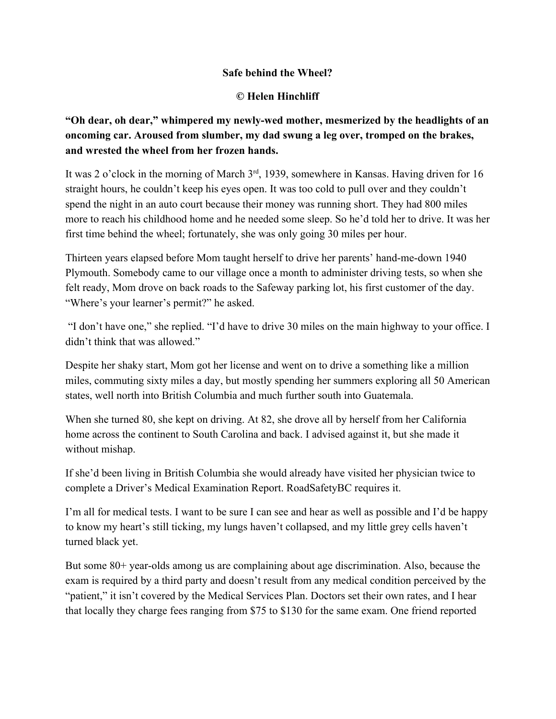## **Safe behind the Wheel?**

## **© Helen Hinchliff**

## **"Oh dear, oh dear," whimpered my newlywed mother, mesmerized by the headlights of an oncoming car. Aroused from slumber, my dad swung a leg over, tromped on the brakes, and wrested the wheel from her frozen hands.**

It was 2 o'clock in the morning of March 3<sup>rd</sup>, 1939, somewhere in Kansas. Having driven for 16 straight hours, he couldn't keep his eyes open. It was too cold to pull over and they couldn't spend the night in an auto court because their money was running short. They had 800 miles more to reach his childhood home and he needed some sleep. So he'd told her to drive. It was her first time behind the wheel; fortunately, she was only going 30 miles per hour.

Thirteen years elapsed before Mom taught herself to drive her parents' hand-me-down 1940 Plymouth. Somebody came to our village once a month to administer driving tests, so when she felt ready, Mom drove on back roads to the Safeway parking lot, his first customer of the day. "Where's your learner's permit?" he asked.

"I don't have one," she replied. "I'd have to drive 30 miles on the main highway to your office. I didn't think that was allowed."

Despite her shaky start, Mom got her license and went on to drive a something like a million miles, commuting sixty miles a day, but mostly spending her summers exploring all 50 American states, well north into British Columbia and much further south into Guatemala.

When she turned 80, she kept on driving. At 82, she drove all by herself from her California home across the continent to South Carolina and back. I advised against it, but she made it without mishap.

If she'd been living in British Columbia she would already have visited her physician twice to complete a Driver's Medical Examination Report. RoadSafetyBC requires it.

I'm all for medical tests. I want to be sure I can see and hear as well as possible and I'd be happy to know my heart's still ticking, my lungs haven't collapsed, and my little grey cells haven't turned black yet.

But some  $80+$  year-olds among us are complaining about age discrimination. Also, because the exam is required by a third party and doesn't result from any medical condition perceived by the "patient," it isn't covered by the Medical Services Plan. Doctors set their own rates, and I hear that locally they charge fees ranging from \$75 to \$130 for the same exam. One friend reported